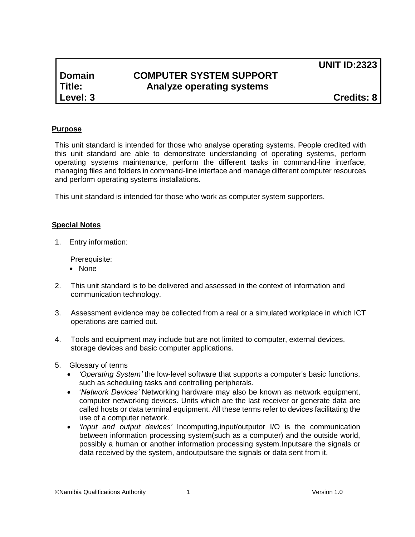# **Domain COMPUTER SYSTEM SUPPORT Title: Analyze operating systems**

**UNIT ID:2323** 

**Level: 3 Credits: 8**

#### **Purpose**

This unit standard is intended for those who analyse operating systems. People credited with this unit standard are able to demonstrate understanding of operating systems, perform operating systems maintenance, perform the different tasks in command-line interface, managing files and folders in command-line interface and manage different computer resources and perform operating systems installations.

This unit standard is intended for those who work as computer system supporters.

#### **Special Notes**

1. Entry information:

Prerequisite:

- None
- 2. This unit standard is to be delivered and assessed in the context of information and communication technology.
- 3. Assessment evidence may be collected from a real or a simulated workplace in which ICT operations are carried out.
- 4. Tools and equipment may include but are not limited to computer, external devices, storage devices and basic computer applications.
- 5. Glossary of terms
	- *'Operating System'* the low-level software that supports a computer's basic functions, such as scheduling tasks and controlling peripherals.
	- '*Network Devices'* Networking hardware may also be known as network equipment, computer networking devices. Units which are the last receiver or generate data are called hosts or data terminal equipment. All these terms refer to devices facilitating the use of a computer network.
	- *'Input and output devices'* I[ncomputing,](http://en.wikipedia.org/wiki/Computing)input/outputor I/O is the communication between [information processing system\(](http://en.wikipedia.org/wiki/Information_processing_system)such as a [computer\)](http://en.wikipedia.org/wiki/Computer) and the outside world, possibly a human or another information processing system[.Inputsa](http://en.wikipedia.org/wiki/Information)re the signals or data received by the system, an[doutputsa](http://en.wikipedia.org/wiki/Output)re the signals or data sent from it.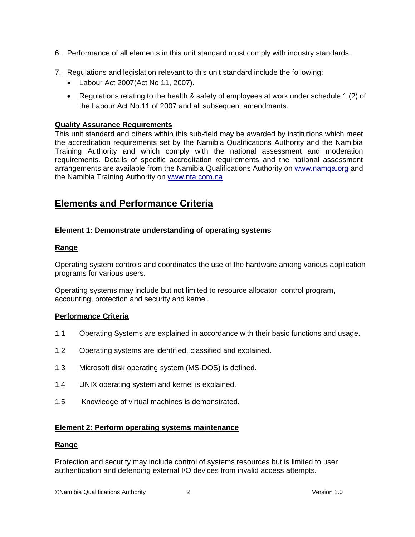- 6. Performance of all elements in this unit standard must comply with industry standards.
- 7. Regulations and legislation relevant to this unit standard include the following:
	- Labour Act 2007(Act No 11, 2007).
	- Regulations relating to the health & safety of employees at work under schedule 1 (2) of the Labour Act No.11 of 2007 and all subsequent amendments.

#### **Quality Assurance Requirements**

This unit standard and others within this sub-field may be awarded by institutions which meet the accreditation requirements set by the Namibia Qualifications Authority and the Namibia Training Authority and which comply with the national assessment and moderation requirements. Details of specific accreditation requirements and the national assessment arrangements are available from the Namibia Qualifications Authority on [www.namqa.org a](http://www.namqa.org/)nd the Namibia Training Authority on [www.nta.com.na](http://www.nta.com.na/)

## **Elements and Performance Criteria**

#### **Element 1: Demonstrate understanding of operating systems**

#### **Range**

Operating system controls and coordinates the use of the hardware among various application programs for various users.

Operating systems may include but not limited to resource allocator, control program, accounting, protection and security and kernel.

#### **Performance Criteria**

- 1.1 Operating Systems are explained in accordance with their basic functions and usage.
- 1.2 Operating systems are identified, classified and explained.
- 1.3 Microsoft disk operating system (MS-DOS) is defined.
- 1.4 UNIX operating system and kernel is explained.
- 1.5 Knowledge of virtual machines is demonstrated.

#### **Element 2: Perform operating systems maintenance**

#### **Range**

Protection and security may include control of systems resources but is limited to user authentication and defending external I/O devices from invalid access attempts.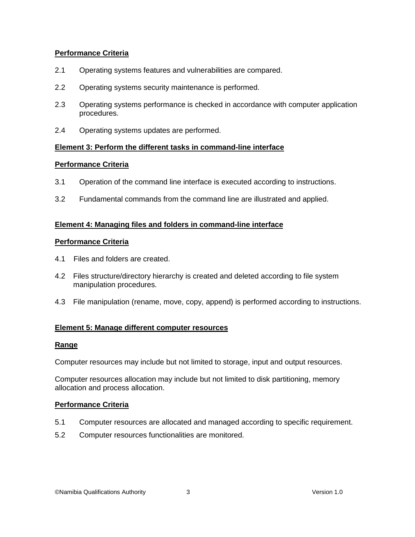#### **Performance Criteria**

- 2.1 Operating systems features and vulnerabilities are compared.
- 2.2 Operating systems security maintenance is performed.
- 2.3 Operating systems performance is checked in accordance with computer application procedures.
- 2.4 Operating systems updates are performed.

#### **Element 3: Perform the different tasks in command-line interface**

#### **Performance Criteria**

- 3.1 Operation of the command line interface is executed according to instructions.
- 3.2 Fundamental commands from the command line are illustrated and applied.

#### **Element 4: Managing files and folders in command-line interface**

#### **Performance Criteria**

- 4.1 Files and folders are created.
- 4.2 Files structure/directory hierarchy is created and deleted according to file system manipulation procedures.
- 4.3 File manipulation (rename, move, copy, append) is performed according to instructions.

#### **Element 5: Manage different computer resources**

#### **Range**

Computer resources may include but not limited to storage, input and output resources.

Computer resources allocation may include but not limited to disk partitioning, memory allocation and process allocation.

#### **Performance Criteria**

- 5.1 Computer resources are allocated and managed according to specific requirement.
- 5.2 Computer resources functionalities are monitored.